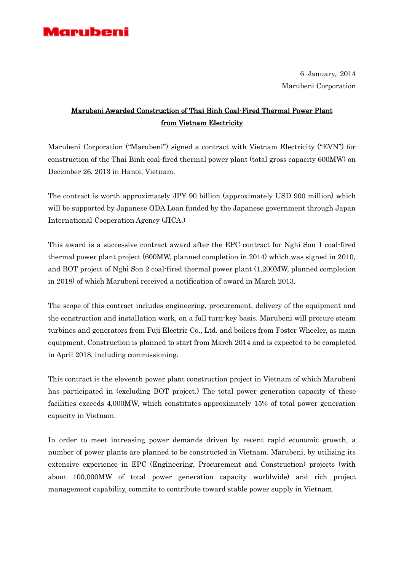

6 January, 2014 Marubeni Corporation

## Marubeni Awarded Construction of Thai Binh Coal-Fired Thermal Power Plant from Vietnam Electricity

Marubeni Corporation ("Marubeni") signed a contract with Vietnam Electricity ("EVN") for construction of the Thai Binh coal-fired thermal power plant (total gross capacity 600MW) on December 26, 2013 in Hanoi, Vietnam.

The contract is worth approximately JPY 90 billion (approximately USD 900 million) which will be supported by Japanese ODA Loan funded by the Japanese government through Japan International Cooperation Agency (JICA.)

This award is a successive contract award after the EPC contract for Nghi Son 1 coal-fired thermal power plant project (600MW, planned completion in 2014) which was signed in 2010, and BOT project of Nghi Son 2 coal-fired thermal power plant (1,200MW, planned completion in 2018) of which Marubeni received a notification of award in March 2013.

The scope of this contract includes engineering, procurement, delivery of the equipment and the construction and installation work, on a full turn-key basis. Marubeni will procure steam turbines and generators from Fuji Electric Co., Ltd. and boilers from Foster Wheeler, as main equipment. Construction is planned to start from March 2014 and is expected to be completed in April 2018, including commissioning.

This contract is the eleventh power plant construction project in Vietnam of which Marubeni has participated in (excluding BOT project.) The total power generation capacity of these facilities exceeds 4,000MW, which constitutes approximately 15% of total power generation capacity in Vietnam.

In order to meet increasing power demands driven by recent rapid economic growth, a number of power plants are planned to be constructed in Vietnam. Marubeni, by utilizing its extensive experience in EPC (Engineering, Procurement and Construction) projects (with about 100,000MW of total power generation capacity worldwide) and rich project management capability, commits to contribute toward stable power supply in Vietnam.